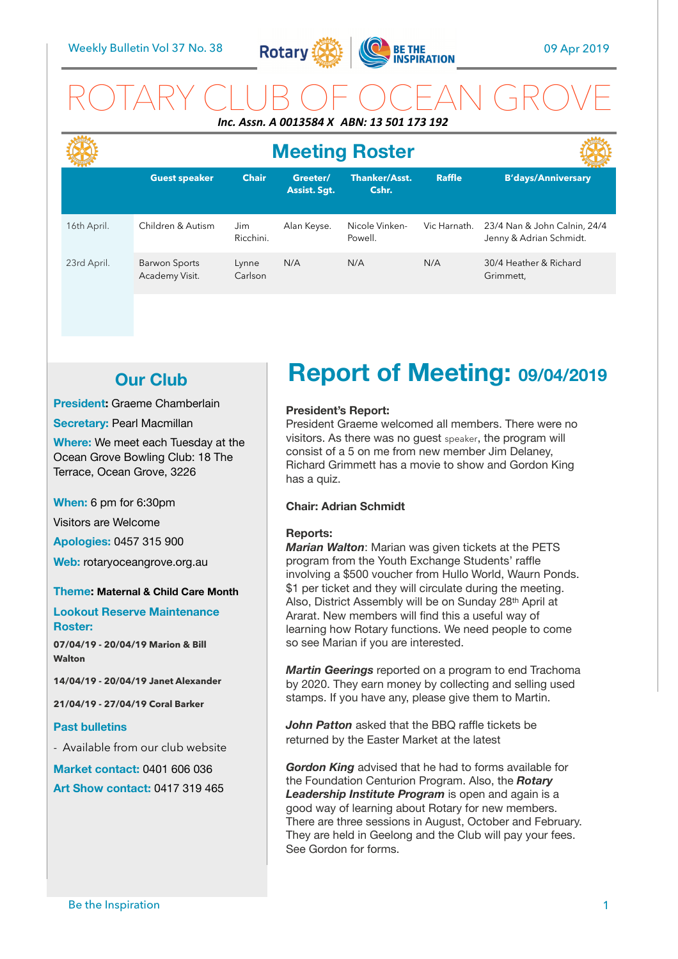

ROTARY CLUB OF OCEAN GROVE *Inc. Assn. A 0013584 X ABN: 13 501 173 192* 

|             | <b>Meeting Roster</b>                  |                   |                          |                               |              |                                                         |
|-------------|----------------------------------------|-------------------|--------------------------|-------------------------------|--------------|---------------------------------------------------------|
|             | <b>Guest speaker</b>                   | <b>Chair</b>      | Greeter/<br>Assist. Sgt. | <b>Thanker/Asst.</b><br>Cshr. | Raffle       | <b>B'days/Anniversary</b>                               |
| 16th April. | Children & Autism                      | Jim.<br>Ricchini. | Alan Keyse.              | Nicole Vinken-<br>Powell.     | Vic Harnath. | 23/4 Nan & John Calnin, 24/4<br>Jenny & Adrian Schmidt. |
| 23rd April. | <b>Barwon Sports</b><br>Academy Visit. | Lynne<br>Carlson  | N/A                      | N/A                           | N/A          | 30/4 Heather & Richard<br>Grimmett,                     |

# **Our Club**

**President:** Graeme Chamberlain

**Secretary: Pearl Macmillan** 

**Where:** We meet each Tuesday at the Ocean Grove Bowling Club: 18 The Terrace, Ocean Grove, 3226

**When:** 6 pm for 6:30pm

Visitors are Welcome

**Apologies:** 0457 315 900

**Web:** rotaryoceangrove.org.au

### **Theme: Maternal & Child Care Month**

**Lookout Reserve Maintenance Roster:** 

**07/04/19 - 20/04/19 Marion & Bill Walton** 

**14/04/19 - 20/04/19 Janet Alexander** 

**21/04/19 - 27/04/19 Coral Barker** 

### **Past bulletins**

- Available from our club website

**Market contact:** 0401 606 036 **Art Show contact:** 0417 319 465

# **Report of Meeting: 09/04/2019**

### **President's Report:**

President Graeme welcomed all members. There were no visitors. As there was no guest speaker, the program will consist of a 5 on me from new member Jim Delaney, Richard Grimmett has a movie to show and Gordon King has a quiz.

### **Chair: Adrian Schmidt**

### **Reports:**

*Marian Walton*: Marian was given tickets at the PETS program from the Youth Exchange Students' raffle involving a \$500 voucher from Hullo World, Waurn Ponds. \$1 per ticket and they will circulate during the meeting. Also, District Assembly will be on Sunday 28th April at Ararat. New members will find this a useful way of learning how Rotary functions. We need people to come so see Marian if you are interested.

*Martin Geerings* reported on a program to end Trachoma by 2020. They earn money by collecting and selling used stamps. If you have any, please give them to Martin.

*John Patton* asked that the BBQ raffle tickets be returned by the Easter Market at the latest

*Gordon King* advised that he had to forms available for the Foundation Centurion Program. Also, the *Rotary Leadership Institute Program* is open and again is a good way of learning about Rotary for new members. There are three sessions in August, October and February. They are held in Geelong and the Club will pay your fees. See Gordon for forms.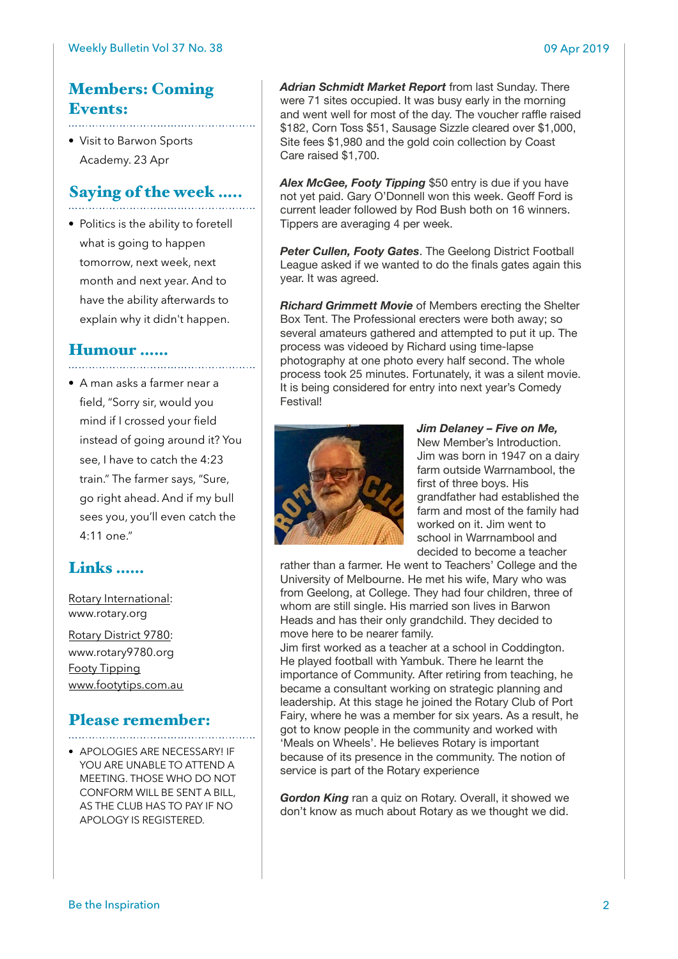## Members: Coming Events:

• Visit to Barwon Sports Academy. 23 Apr

## Saying of the week …..

• Politics is the ability to foretell what is going to happen tomorrow, next week, next month and next year. And to have the ability afterwards to explain why it didn't happen.

## Humour ……

• A man asks a farmer near a field, "Sorry sir, would you mind if I crossed your field instead of going around it? You see, I have to catch the 4:23 train." The farmer says, "Sure, go right ahead. And if my bull sees you, you'll even catch the  $4.11$  one"

## Links ……

[Rotary International:](https://www.rotary.org) [www.rotary.org](http://www.rotary.org)  [Rotary District 9780:](http://rotary9780.org) [www.rotary9780.org](http://www.rotary9780.org)  [Footy Tipping](http://www.footytips.com.au) [www.footytips.com.au](http://www.footytips.com.au)

## Please remember:

• APOLOGIES ARE NECESSARY! IF YOU ARE UNABLE TO ATTEND A MEETING. THOSE WHO DO NOT CONFORM WILL BE SENT A BILL, AS THE CLUB HAS TO PAY IF NO APOLOGY IS REGISTERED.

*Adrian Schmidt Market Report* from last Sunday. There were 71 sites occupied. It was busy early in the morning and went well for most of the day. The voucher raffle raised \$182, Corn Toss \$51, Sausage Sizzle cleared over \$1,000, Site fees \$1,980 and the gold coin collection by Coast Care raised \$1,700.

*Alex McGee, Footy Tipping* \$50 entry is due if you have not yet paid. Gary O'Donnell won this week. Geoff Ford is current leader followed by Rod Bush both on 16 winners. Tippers are averaging 4 per week.

*Peter Cullen, Footy Gates*. The Geelong District Football League asked if we wanted to do the finals gates again this year. It was agreed.

*Richard Grimmett Movie* of Members erecting the Shelter Box Tent. The Professional erecters were both away; so several amateurs gathered and attempted to put it up. The process was videoed by Richard using time-lapse photography at one photo every half second. The whole process took 25 minutes. Fortunately, it was a silent movie. It is being considered for entry into next year's Comedy Festival!



*Jim Delaney – Five on Me,* New Member's Introduction. Jim was born in 1947 on a dairy farm outside Warrnambool, the first of three boys. His grandfather had established the farm and most of the family had worked on it. Jim went to school in Warrnambool and decided to become a teacher

rather than a farmer. He went to Teachers' College and the University of Melbourne. He met his wife, Mary who was from Geelong, at College. They had four children, three of whom are still single. His married son lives in Barwon Heads and has their only grandchild. They decided to move here to be nearer family.

Jim first worked as a teacher at a school in Coddington. He played football with Yambuk. There he learnt the importance of Community. After retiring from teaching, he became a consultant working on strategic planning and leadership. At this stage he joined the Rotary Club of Port Fairy, where he was a member for six years. As a result, he got to know people in the community and worked with 'Meals on Wheels'. He believes Rotary is important because of its presence in the community. The notion of service is part of the Rotary experience

*Gordon King* ran a quiz on Rotary. Overall, it showed we don't know as much about Rotary as we thought we did.